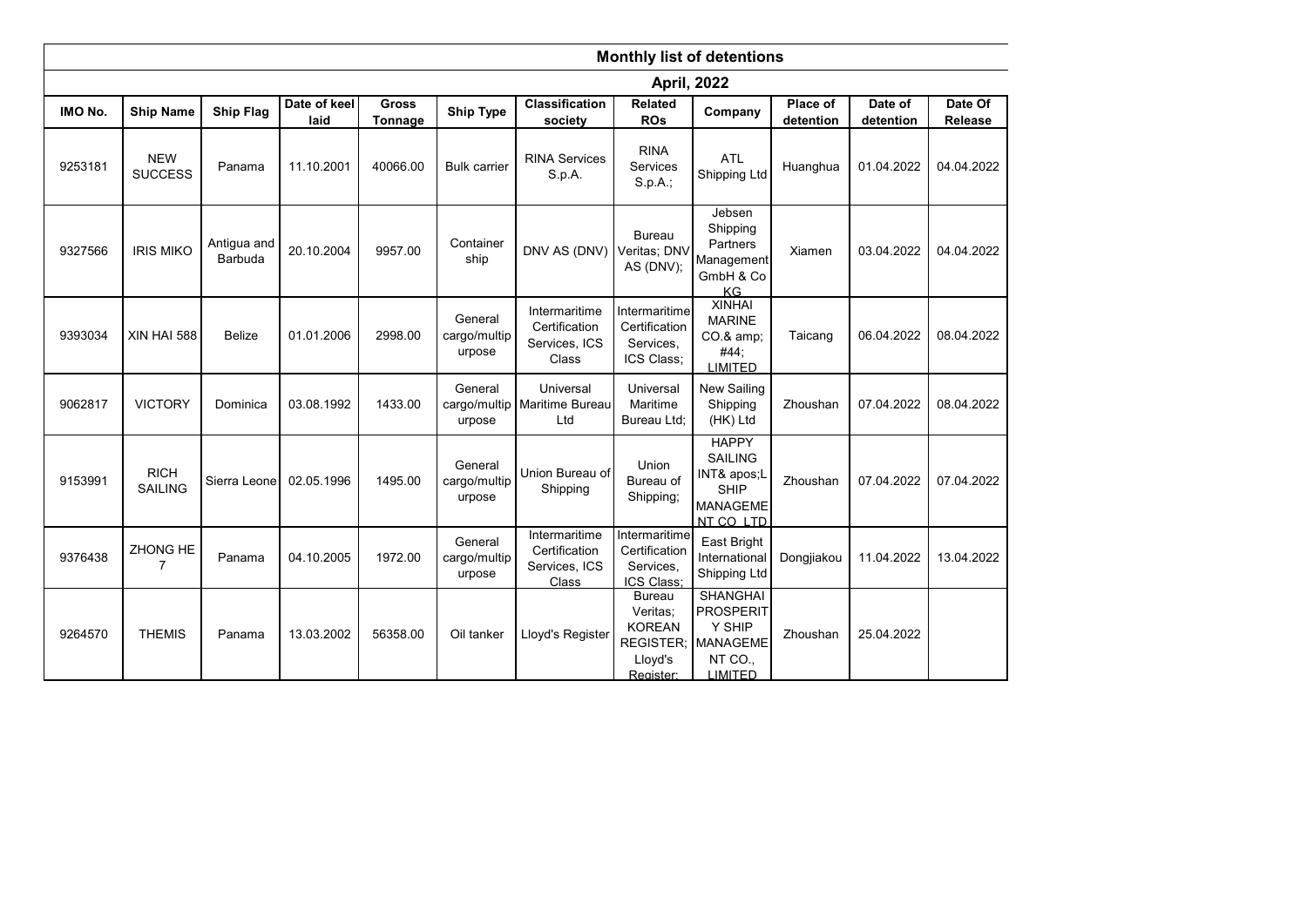|         | <b>Monthly list of detentions</b> |                        |                      |                         |                                   |                                                          |                                                                    |                                                                                                  |                       |                      |                    |
|---------|-----------------------------------|------------------------|----------------------|-------------------------|-----------------------------------|----------------------------------------------------------|--------------------------------------------------------------------|--------------------------------------------------------------------------------------------------|-----------------------|----------------------|--------------------|
|         | <b>April, 2022</b>                |                        |                      |                         |                                   |                                                          |                                                                    |                                                                                                  |                       |                      |                    |
| IMO No. | <b>Ship Name</b>                  | <b>Ship Flag</b>       | Date of keel<br>laid | <b>Gross</b><br>Tonnage | <b>Ship Type</b>                  | Classification<br>society                                | Related<br><b>ROs</b>                                              | Company                                                                                          | Place of<br>detention | Date of<br>detention | Date Of<br>Release |
| 9253181 | <b>NEW</b><br><b>SUCCESS</b>      | Panama                 | 11.10.2001           | 40066.00                | <b>Bulk carrier</b>               | <b>RINA Services</b><br>S.p.A.                           | <b>RINA</b><br><b>Services</b><br>$S. p. A.$ ;                     | <b>ATL</b><br>Shipping Ltd                                                                       | Huanghua              | 01.04.2022           | 04.04.2022         |
| 9327566 | <b>IRIS MIKO</b>                  | Antigua and<br>Barbuda | 20.10.2004           | 9957.00                 | Container<br>ship                 | DNV AS (DNV)                                             | <b>Bureau</b><br>Veritas; DNV<br>AS (DNV);                         | Jebsen<br>Shipping<br>Partners<br>Management<br>GmbH & Co<br><b>KG</b>                           | Xiamen                | 03.04.2022           | 04.04.2022         |
| 9393034 | XIN HAI 588                       | <b>Belize</b>          | 01.01.2006           | 2998.00                 | General<br>cargo/multip<br>urpose | Intermaritime<br>Certification<br>Services, ICS<br>Class | Intermaritime<br>Certification<br>Services,<br>ICS Class;          | <b>XINHAI</b><br><b>MARINE</b><br>CO.& amp;<br>#44;<br><b>LIMITED</b>                            | Taicang               | 06.04.2022           | 08.04.2022         |
| 9062817 | <b>VICTORY</b>                    | Dominica               | 03.08.1992           | 1433.00                 | General<br>urpose                 | Universal<br>cargo/multip   Maritime Bureau<br>Ltd       | Universal<br>Maritime<br>Bureau Ltd;                               | New Sailing<br>Shipping<br>(HK) Ltd                                                              | Zhoushan              | 07.04.2022           | 08.04.2022         |
| 9153991 | <b>RICH</b><br><b>SAILING</b>     | Sierra Leone           | 02.05.1996           | 1495.00                 | General<br>cargo/multip<br>urpose | Union Bureau of<br>Shipping                              | Union<br>Bureau of<br>Shipping;                                    | <b>HAPPY</b><br><b>SAILING</b><br>INT& apos;L<br>SHIP<br><b>MANAGEME</b><br>NT CO LTD            | Zhoushan              | 07.04.2022           | 07.04.2022         |
| 9376438 | ZHONG HE<br>7                     | Panama                 | 04.10.2005           | 1972.00                 | General<br>cargo/multip<br>urpose | Intermaritime<br>Certification<br>Services, ICS<br>Class | Intermaritime<br>Certification<br>Services.<br>ICS Class;          | East Bright<br>International<br>Shipping Ltd                                                     | Dongjiakou            | 11.04.2022           | 13.04.2022         |
| 9264570 | <b>THEMIS</b>                     | Panama                 | 13.03.2002           | 56358.00                | Oil tanker                        | Lloyd's Register                                         | <b>Bureau</b><br>Veritas:<br><b>KOREAN</b><br>Lloyd's<br>Register: | <b>SHANGHAI</b><br><b>PROSPERIT</b><br>Y SHIP<br>REGISTER; MANAGEME<br>NT CO.,<br><b>LIMITED</b> | Zhoushan              | 25.04.2022           |                    |